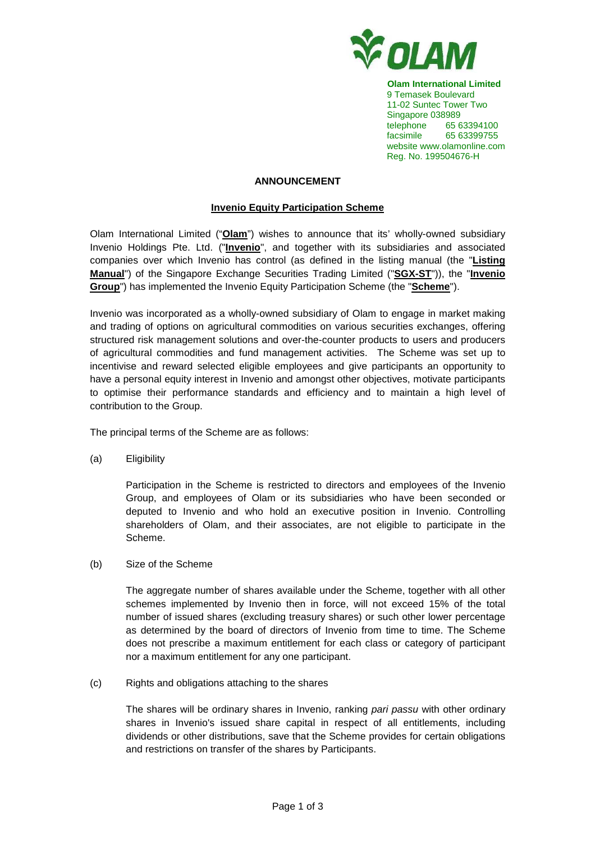

**Olam International Limited**  9 Temasek Boulevard 11-02 Suntec Tower Two Singapore 038989 telephone 65 63394100 facsimile 65 63399755 website www.olamonline.com Reg. No. 199504676-H

# **ANNOUNCEMENT**

## **Invenio Equity Participation Scheme**

Olam International Limited ("**Olam**") wishes to announce that its' wholly-owned subsidiary Invenio Holdings Pte. Ltd. ("**Invenio**", and together with its subsidiaries and associated companies over which Invenio has control (as defined in the listing manual (the "**Listing Manual**") of the Singapore Exchange Securities Trading Limited ("**SGX-ST**")), the "**Invenio Group**") has implemented the Invenio Equity Participation Scheme (the "**Scheme**").

Invenio was incorporated as a wholly-owned subsidiary of Olam to engage in market making and trading of options on agricultural commodities on various securities exchanges, offering structured risk management solutions and over-the-counter products to users and producers of agricultural commodities and fund management activities. The Scheme was set up to incentivise and reward selected eligible employees and give participants an opportunity to have a personal equity interest in Invenio and amongst other objectives, motivate participants to optimise their performance standards and efficiency and to maintain a high level of contribution to the Group.

The principal terms of the Scheme are as follows:

(a) Eligibility

Participation in the Scheme is restricted to directors and employees of the Invenio Group, and employees of Olam or its subsidiaries who have been seconded or deputed to Invenio and who hold an executive position in Invenio. Controlling shareholders of Olam, and their associates, are not eligible to participate in the Scheme.

(b) Size of the Scheme

The aggregate number of shares available under the Scheme, together with all other schemes implemented by Invenio then in force, will not exceed 15% of the total number of issued shares (excluding treasury shares) or such other lower percentage as determined by the board of directors of Invenio from time to time. The Scheme does not prescribe a maximum entitlement for each class or category of participant nor a maximum entitlement for any one participant.

(c) Rights and obligations attaching to the shares

The shares will be ordinary shares in Invenio, ranking pari passu with other ordinary shares in Invenio's issued share capital in respect of all entitlements, including dividends or other distributions, save that the Scheme provides for certain obligations and restrictions on transfer of the shares by Participants.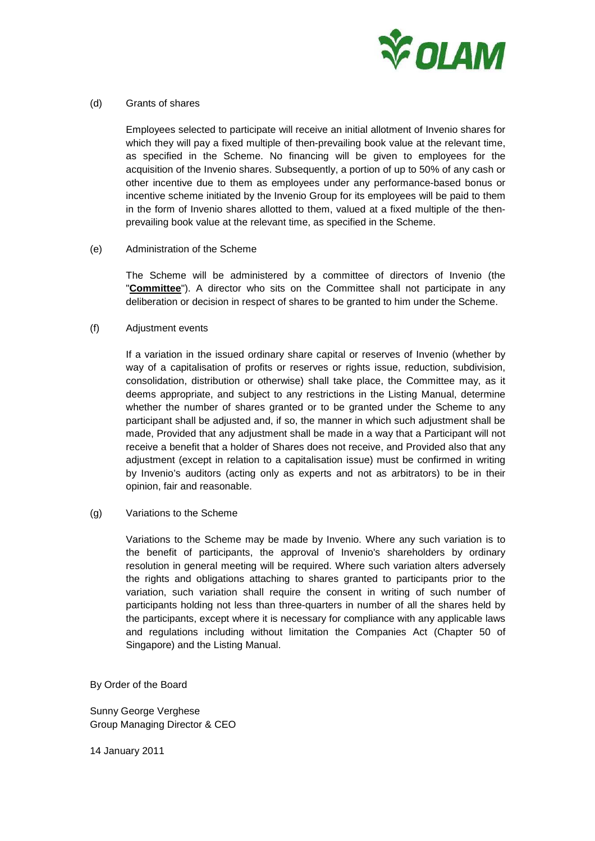

## (d) Grants of shares

Employees selected to participate will receive an initial allotment of Invenio shares for which they will pay a fixed multiple of then-prevailing book value at the relevant time, as specified in the Scheme. No financing will be given to employees for the acquisition of the Invenio shares. Subsequently, a portion of up to 50% of any cash or other incentive due to them as employees under any performance-based bonus or incentive scheme initiated by the Invenio Group for its employees will be paid to them in the form of Invenio shares allotted to them, valued at a fixed multiple of the thenprevailing book value at the relevant time, as specified in the Scheme.

## (e) Administration of the Scheme

The Scheme will be administered by a committee of directors of Invenio (the "**Committee**"). A director who sits on the Committee shall not participate in any deliberation or decision in respect of shares to be granted to him under the Scheme.

## (f) Adjustment events

If a variation in the issued ordinary share capital or reserves of Invenio (whether by way of a capitalisation of profits or reserves or rights issue, reduction, subdivision, consolidation, distribution or otherwise) shall take place, the Committee may, as it deems appropriate, and subject to any restrictions in the Listing Manual, determine whether the number of shares granted or to be granted under the Scheme to any participant shall be adjusted and, if so, the manner in which such adjustment shall be made, Provided that any adjustment shall be made in a way that a Participant will not receive a benefit that a holder of Shares does not receive, and Provided also that any adjustment (except in relation to a capitalisation issue) must be confirmed in writing by Invenio's auditors (acting only as experts and not as arbitrators) to be in their opinion, fair and reasonable.

#### (g) Variations to the Scheme

 Variations to the Scheme may be made by Invenio. Where any such variation is to the benefit of participants, the approval of Invenio's shareholders by ordinary resolution in general meeting will be required. Where such variation alters adversely the rights and obligations attaching to shares granted to participants prior to the variation, such variation shall require the consent in writing of such number of participants holding not less than three-quarters in number of all the shares held by the participants, except where it is necessary for compliance with any applicable laws and regulations including without limitation the Companies Act (Chapter 50 of Singapore) and the Listing Manual.

By Order of the Board

Sunny George Verghese Group Managing Director & CEO

14 January 2011